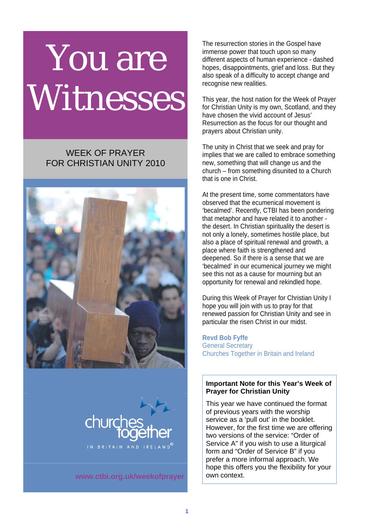# You are Witnesses

## WEEK OF PRAYER FOR CHRISTIAN UNITY 2010





**www.ctbi.org.uk/weekofprayer**

The resurrection stories in the Gospel have immense power that touch upon so many different aspects of human experience - dashed hopes, disappointments, grief and loss. But they also speak of a difficulty to accept change and recognise new realities.

This year, the host nation for the Week of Prayer for Christian Unity is my own, Scotland, and they have chosen the vivid account of Jesus' Resurrection as the focus for our thought and prayers about Christian unity.

The unity in Christ that we seek and pray for implies that we are called to embrace something new, something that will change us and the church – from something disunited to a Church that is one in Christ.

At the present time, some commentators have observed that the ecumenical movement is 'becalmed'. Recently, CTBI has been pondering that metaphor and have related it to another the desert. In Christian spirituality the desert is not only a lonely, sometimes hostile place, but also a place of spiritual renewal and growth, a place where faith is strengthened and deepened. So if there is a sense that we are 'becalmed' in our ecumenical journey we might see this not as a cause for mourning but an opportunity for renewal and rekindled hope.

During this Week of Prayer for Christian Unity I hope you will join with us to pray for that renewed passion for Christian Unity and see in particular the risen Christ in our midst.

**Revd Bob Fyffe**  General Secretary Churches Together in Britain and Ireland

## **Important Note for this Year's Week of Prayer for Christian Unity**

This year we have continued the format of previous years with the worship service as a 'pull out' in the booklet. However, for the first time we are offering two versions of the service: "Order of Service A" if you wish to use a liturgical form and "Order of Service B" if you prefer a more informal approach. We hope this offers you the flexibility for your own context.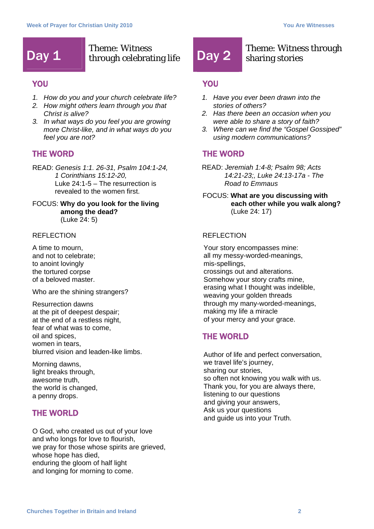## **Day 1** Theme: Witness<br>**Day 1** through celebrating life

## YOU

- *1. How do you and your church celebrate life?*
- *2. How might others learn through you that Christ is alive?*
- *3. In what ways do you feel you are growing more Christ-like, and in what ways do you feel you are not?*

## THE WORD

- READ: *Genesis 1:1. 26-31, Psalm 104:1-24, 1 Corinthians 15:12-20,*  Luke 24:1-5 – The resurrection is revealed to the women first.
- FOCUS: **Why do you look for the living among the dead?** (Luke 24: 5)

## **REFLECTION**

A time to mourn, and not to celebrate; to anoint lovingly the tortured corpse of a beloved master.

Who are the shining strangers?

Resurrection dawns at the pit of deepest despair; at the end of a restless night, fear of what was to come, oil and spices, women in tears, blurred vision and leaden-like limbs.

Morning dawns, light breaks through, awesome truth, the world is changed, a penny drops.

## THE WORLD

O God, who created us out of your love and who longs for love to flourish, we pray for those whose spirits are grieved, whose hope has died, enduring the gloom of half light and longing for morning to come.

## Day 2 Theme: Witness through<br>
<u>Sharing</u> stories sharing stories

## YOU

- *1. Have you ever been drawn into the stories of others?*
- *2. Has there been an occasion when you were able to share a story of faith?*
- *3. Where can we find the "Gospel Gossiped" using modern communications?*

## THE WORD

READ: *Jeremiah 1:4-8; Psalm 98; Acts 14:21-23;, Luke 24:13-17a - The Road to Emmaus* 

FOCUS: **What are you discussing with each other while you walk along?** (Luke 24: 17)

## **REFLECTION**

Your story encompasses mine: all my messy-worded-meanings, mis-spellings, crossings out and alterations. Somehow your story crafts mine, erasing what I thought was indelible, weaving your golden threads through my many-worded-meanings, making my life a miracle of your mercy and your grace.

## THE WORLD

Author of life and perfect conversation, we travel life's journey, sharing our stories, so often not knowing you walk with us. Thank you, for you are always there, listening to our questions and giving your answers, Ask us your questions and guide us into your Truth.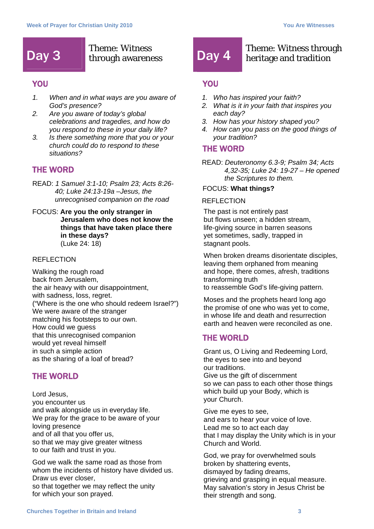## **Day 3** Theme: Witness<br>**Day 3** Inrough awareness

## YOU

- *1. When and in what ways are you aware of God's presence?*
- *2. Are you aware of today's global celebrations and tragedies, and how do you respond to these in your daily life?*
- *3. Is there something more that you or your church could do to respond to these situations?*

## THE WORD

- READ: *1 Samuel 3:1-10; Psalm 23; Acts 8:26- 40; Luke 24:13-19a –Jesus, the unrecognised companion on the road*
- FOCUS: **Are you the only stranger in Jerusalem who does not know the things that have taken place there in these days?**  (Luke 24: 18)

## REFLECTION

Walking the rough road back from Jerusalem, the air heavy with our disappointment, with sadness, loss, regret. ("Where is the one who should redeem Israel?") We were aware of the stranger matching his footsteps to our own. How could we guess that this unrecognised companion would yet reveal himself in such a simple action as the sharing of a loaf of bread?

## THE WORLD

Lord Jesus, you encounter us and walk alongside us in everyday life. We pray for the grace to be aware of your loving presence and of all that you offer us, so that we may give greater witness to our faith and trust in you.

God we walk the same road as those from whom the incidents of history have divided us. Draw us ever closer, so that together we may reflect the unity for which your son prayed.

## **Day 4** Theme: Witness through **Day 4** heritage and tradition heritage and tradition

## YOU

- *1. Who has inspired your faith?*
- *2. What is it in your faith that inspires you each day?*
- *3. How has your history shaped you?*
- *4. How can you pass on the good things of your tradition?*

## THE WORD

READ: *Deuteronomy 6.3-9; Psalm 34; Acts 4,32-35; Luke 24: 19-27 – He opened the Scriptures to them.* 

## FOCUS: **What things?**

## REFLECTION

The past is not entirely past but flows unseen; a hidden stream, life-giving source in barren seasons yet sometimes, sadly, trapped in stagnant pools.

When broken dreams disorientate disciples, leaving them orphaned from meaning and hope, there comes, afresh, traditions transforming truth to reassemble God's life-giving pattern.

Moses and the prophets heard long ago the promise of one who was yet to come, in whose life and death and resurrection earth and heaven were reconciled as one.

## THE WORLD

Grant us, O Living and Redeeming Lord, the eyes to see into and beyond our traditions. Give us the gift of discernment so we can pass to each other those things which build up your Body, which is your Church.

Give me eyes to see, and ears to hear your voice of love. Lead me so to act each day that I may display the Unity which is in your Church and World.

God, we pray for overwhelmed souls broken by shattering events, dismayed by fading dreams, grieving and grasping in equal measure. May salvation's story in Jesus Christ be their strength and song.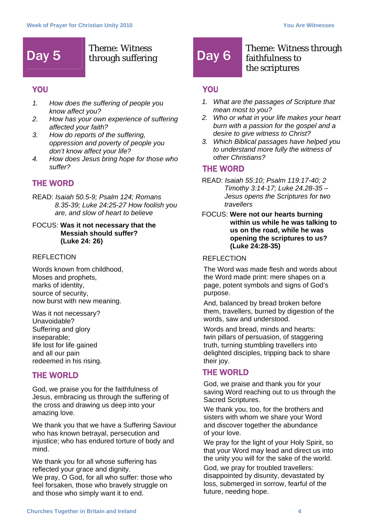## **Day 5** Theme: Witness

## YOU

- *1. How does the suffering of people you know affect you?*
- *2. How has your own experience of suffering affected your faith?*
- *3. How do reports of the suffering, oppression and poverty of people you don't know affect your life?*
- *4. How does Jesus bring hope for those who suffer?*

## THE WORD

READ: *Isaiah 50.5-9; Psalm 124; Romans 8.35-39; Luke 24:25-27 How foolish you are, and slow of heart to believe* 

## FOCUS: **Was it not necessary that the Messiah should suffer? (Luke 24: 26)**

## **REFLECTION**

Words known from childhood, Moses and prophets, marks of identity, source of security, now burst with new meaning.

Was it not necessary? Unavoidable? Suffering and glory inseparable; life lost for life gained and all our pain redeemed in his rising.

## THE WORLD

God, we praise you for the faithfulness of Jesus, embracing us through the suffering of the cross and drawing us deep into your amazing love.

We thank you that we have a Suffering Saviour who has known betrayal, persecution and injustice; who has endured torture of body and mind.

We thank you for all whose suffering has reflected your grace and dignity. We pray, O God, for all who suffer: those who feel forsaken, those who bravely struggle on and those who simply want it to end.

## Day 6 Theme: Witness through<br> **Day 6** faithfulness to faithfulness to the scriptures

## YOU

- *1. What are the passages of Scripture that mean most to you?*
- *2. Who or what in your life makes your heart burn with a passion for the gospel and a desire to give witness to Christ?*
- *3. Which Biblical passages have helped you to understand more fully the witness of other Christians?*

## THE WORD

- READ: *Isaiah 55:10; Psalm 119:17-40; 2 Timothy 3:14-17; Luke 24.28-35 – Jesus opens the Scriptures for two travellers*
- FOCUS: **Were not our hearts burning within us while he was talking to us on the road, while he was opening the scriptures to us? (Luke 24:28-35)**

## **REFLECTION**

The Word was made flesh and words about the Word made print: mere shapes on a page, potent symbols and signs of God's purpose.

And, balanced by bread broken before them, travellers, burned by digestion of the words, saw and understood.

Words and bread, minds and hearts: twin pillars of persuasion, of staggering truth, turning stumbling travellers into delighted disciples, tripping back to share their joy.

## THE WORLD

God, we praise and thank you for your saving Word reaching out to us through the Sacred Scriptures.

We thank you, too, for the brothers and sisters with whom we share your Word and discover together the abundance of your love.

We pray for the light of your Holy Spirit, so that your Word may lead and direct us into the unity you will for the sake of the world.

God, we pray for troubled travellers: disappointed by disunity, devastated by loss, submerged in sorrow, fearful of the future, needing hope.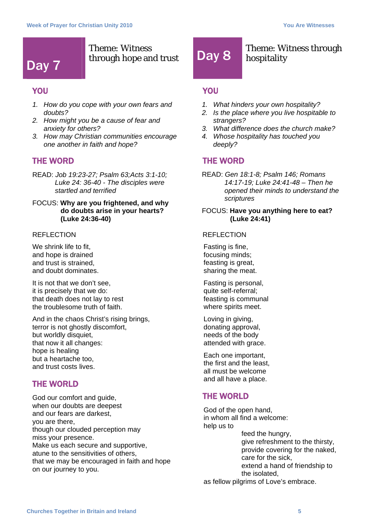## Day 7

## Theme: Witness

## **YOU**

- *1. How do you cope with your own fears and doubts?*
- *2. How might you be a cause of fear and anxiety for others?*
- *3. How may Christian communities encourage one another in faith and hope?*

## THE WORD

- READ: *Job 19:23-27; Psalm 63;Acts 3:1-10; Luke 24: 36-40 - The disciples were startled and terrified*
- FOCUS: **Why are you frightened, and why do doubts arise in your hearts? (Luke 24:36-40)**

## **REFLECTION**

We shrink life to fit. and hope is drained and trust is strained, and doubt dominates.

It is not that we don't see, it is precisely that we do: that death does not lay to rest the troublesome truth of faith.

And in the chaos Christ's rising brings, terror is not ghostly discomfort. but worldly disquiet, that now it all changes: hope is healing but a heartache too, and trust costs lives.

## THE WORLD

God our comfort and guide, when our doubts are deepest and our fears are darkest, you are there, though our clouded perception may miss your presence. Make us each secure and supportive, atune to the sensitivities of others, that we may be encouraged in faith and hope on our journey to you.

## Theme: Witness<br>through hope and trust Day 8 Integrative hospitality hospitality

## YOU

- *1. What hinders your own hospitality?*
- *2. Is the place where you live hospitable to strangers?*
- *3. What difference does the church make?*
- *4. Whose hospitality has touched you deeply?*

## THE WORD

- READ: *Gen 18:1-8; Psalm 146; Romans 14:17-19; Luke 24:41-48 – Then he opened their minds to understand the scriptures*
- FOCUS: **Have you anything here to eat? (Luke 24:41)**

## **REFLECTION**

Fasting is fine, focusing minds; feasting is great, sharing the meat.

Fasting is personal, quite self-referral; feasting is communal where spirits meet.

Loving in giving, donating approval, needs of the body attended with grace.

Each one important, the first and the least, all must be welcome and all have a place.

## THE WORLD

God of the open hand, in whom all find a welcome: help us to feed the hungry, give refreshment to the thirsty, provide covering for the naked, care for the sick, extend a hand of friendship to the isolated, as fellow pilgrims of Love's embrace.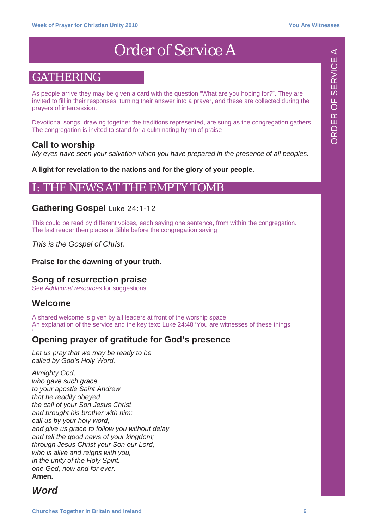ORDER OF SERVICE A

ORDER OF SERVICE

 $\triangleleft$ 

## Order of Service A

## **GATHERING**

As people arrive they may be given a card with the question "What are you hoping for?". They are invited to fill in their responses, turning their answer into a prayer, and these are collected during the prayers of intercession.

Devotional songs, drawing together the traditions represented, are sung as the congregation gathers. The congregation is invited to stand for a culminating hymn of praise

## **Call to worship**

*My eyes have seen your salvation which you have prepared in the presence of all peoples.* 

**A light for revelation to the nations and for the glory of your people.** 

## I: THE NEWS AT THE EMPTY TOMB

## **Gathering Gospel** Luke 24:1-12

This could be read by different voices, each saying one sentence, from within the congregation. The last reader then places a Bible before the congregation saying

*This is the Gospel of Christ.* 

**Praise for the dawning of your truth.** 

## **Song of resurrection praise**

See *Additional resources* for suggestions

## **Welcome**

'

A shared welcome is given by all leaders at front of the worship space. An explanation of the service and the key text: Luke 24:48 'You are witnesses of these things

## **Opening prayer of gratitude for God's presence**

*Let us pray that we may be ready to be called by God's Holy Word.* 

*Almighty God, who gave such grace to your apostle Saint Andrew that he readily obeyed the call of your Son Jesus Christ and brought his brother with him: call us by your holy word, and give us grace to follow you without delay and tell the good news of your kingdom; through Jesus Christ your Son our Lord, who is alive and reigns with you, in the unity of the Holy Spirit. one God, now and for ever.*  **Amen.** 

## *Word*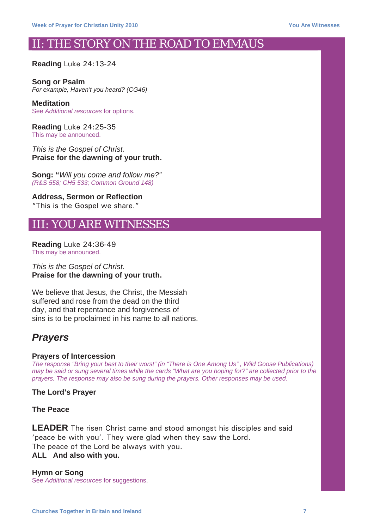## II: THE STORY ON THE ROAD TO EMMAUS

**Reading** Luke 24:13-24

**Song or Psalm**  *For example, Haven't you heard? (CG46)* 

**Meditation**  See *Additional resources* for options.

**Reading** Luke 24:25-35 This may be announced.

*This is the Gospel of Christ.*  **Praise for the dawning of your truth.** 

**Song: "***Will you come and follow me?" (R&S 558; CH5 533; Common Ground 148)* 

**Address, Sermon or Reflection**  "This is the Gospel we share."

## III: YOU ARE WITNESSES

**Reading** Luke 24:36-49 This may be announced.

*This is the Gospel of Christ.*  **Praise for the dawning of your truth.** 

We believe that Jesus, the Christ, the Messiah suffered and rose from the dead on the third day, and that repentance and forgiveness of sins is to be proclaimed in his name to all nations.

## *Prayers*

## **Prayers of Intercession**

*The response "Bring your best to their worst" (in "There is One Among Us" , Wild Goose Publications) may be said or sung several times while the cards "What are you hoping for?" are collected prior to the prayers. The response may also be sung during the prayers. Other responses may be used.* 

## **The Lord's Prayer**

## **The Peace**

**LEADER** The risen Christ came and stood amongst his disciples and said 'peace be with you'. They were glad when they saw the Lord. The peace of the Lord be always with you. **ALL And also with you.** 

**Hymn or Song** 

See *Additional resources* for suggestions,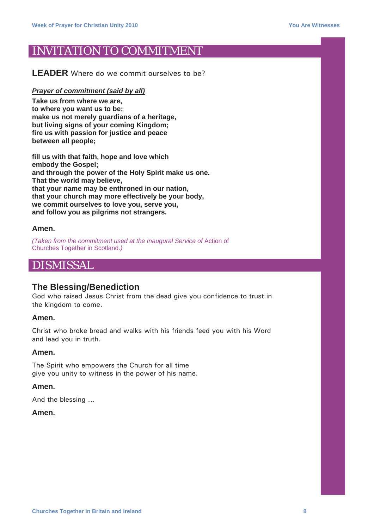## INVITATION TO COMMITMENT

**LEADER** Where do we commit ourselves to be?

## *Prayer of commitment (said by all)*

**Take us from where we are, to where you want us to be; make us not merely guardians of a heritage, but living signs of your coming Kingdom; fire us with passion for justice and peace between all people;** 

**fill us with that faith, hope and love which embody the Gospel; and through the power of the Holy Spirit make us one. That the world may believe, that your name may be enthroned in our nation, that your church may more effectively be your body, we commit ourselves to love you, serve you, and follow you as pilgrims not strangers.** 

## **Amen.**

*(Taken from the commitment used at the Inaugural Service of* Action of Churches Together in Scotland*.)* 

## DISMISSAL

## **The Blessing/Benediction**

God who raised Jesus Christ from the dead give you confidence to trust in the kingdom to come.

### **Amen.**

Christ who broke bread and walks with his friends feed you with his Word and lead you in truth.

### **Amen.**

The Spirit who empowers the Church for all time give you unity to witness in the power of his name.

## **Amen.**

And the blessing …

## **Amen.**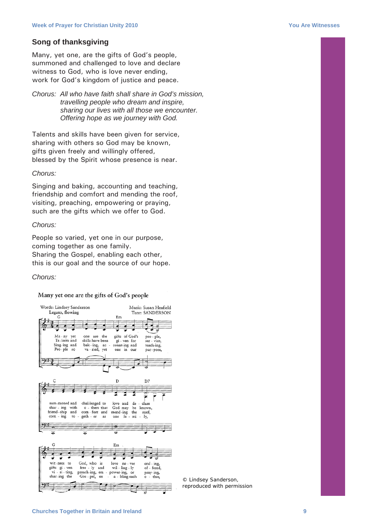## **Song of thanksgiving**

Many, yet one, are the gifts of God's people, summoned and challenged to love and declare witness to God, who is love never ending, work for God's kingdom of justice and peace.

*Chorus: All who have faith shall share in God's mission, travelling people who dream and inspire, sharing our lives with all those we encounter. Offering hope as we journey with God.* 

Talents and skills have been given for service, sharing with others so God may be known, gifts given freely and willingly offered, blessed by the Spirit whose presence is near.

### *Chorus:*

Singing and baking, accounting and teaching, friendship and comfort and mending the roof, visiting, preaching, empowering or praying, such are the gifts which we offer to God.

### *Chorus:*

People so varied, yet one in our purpose, coming together as one family. Sharing the Gospel, enabling each other, this is our goal and the source of our hope.

### *Chorus:*

Many yet one are the gifts of God's people



*© Lindsey Sanderson, reproduced with permission*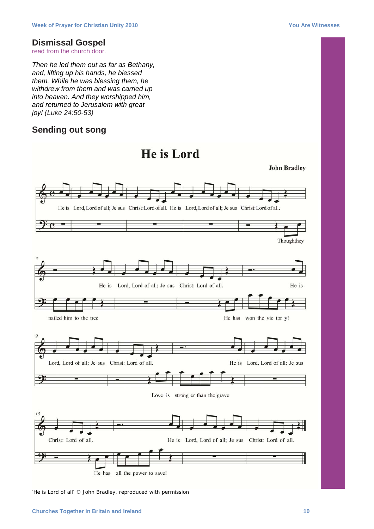## **Dismissal Gospel**

read from the church door.

*Then he led them out as far as Bethany, and, lifting up his hands, he blessed them. While he was blessing them, he withdrew from them and was carried up into heaven. And they worshipped him, and returned to Jerusalem with great joy! (Luke 24:50-53)* 

## **Sending out song**

## **He is Lord**



He has

*'He is Lord of all' © John Bradley, reproduced with permission* 

all the power to save!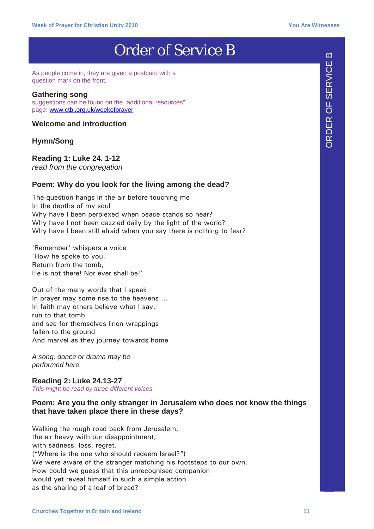## Order of Service B

As people come in, they are given a postcard with a question mark on the front.

## **Gathering song**

suggestions can be found on the "additional resources" page: www.ctbi.org.uk/weekofprayer

## **Welcome and introduction**

## **Hymn/Song**

## **Reading 1: Luke 24. 1-12**

*read from the congregation* 

## **Poem: Why do you look for the living among the dead?**

The question hangs in the air before touching me In the depths of my soul Why have I been perplexed when peace stands so near? Why have I not been dazzled daily by the light of the world? Why have I been still afraid when you say there is nothing to fear?

'Remember' whispers a voice 'How he spoke to you, Return from the tomb, He is not there! Nor ever shall be!'

Out of the many words that I speak In prayer may some rise to the heavens ... In faith may others believe what I say, run to that tomb and see for themselves linen wrappings fallen to the ground And marvel as they journey towards home

*A song, dance or drama may be performed here.* 

## **Reading 2: Luke 24.13-27**

*This might be read by three different voices.* 

## **Poem: Are you the only stranger in Jerusalem who does not know the things that have taken place there in these days?**

Walking the rough road back from Jerusalem, the air heavy with our disappointment, with sadness, loss, regret. ("Where is the one who should redeem Israel?") We were aware of the stranger matching his footsteps to our own. How could we guess that this unrecognised companion would yet reveal himself in such a simple action as the sharing of a loaf of bread?